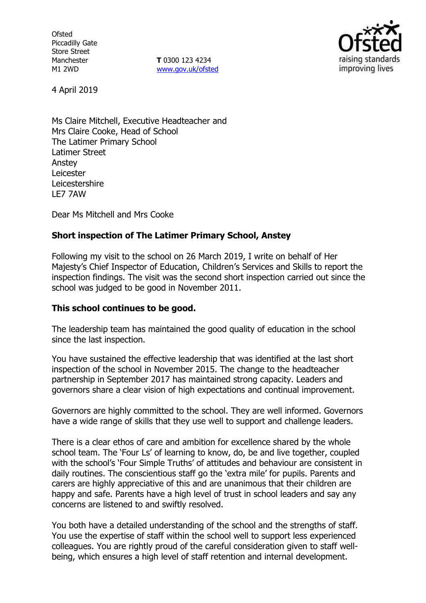**Ofsted** Piccadilly Gate Store Street Manchester M1 2WD

**T** 0300 123 4234 www.gov.uk/ofsted



4 April 2019

Ms Claire Mitchell, Executive Headteacher and Mrs Claire Cooke, Head of School The Latimer Primary School Latimer Street Anstey Leicester Leicestershire LE7 7AW

Dear Ms Mitchell and Mrs Cooke

## **Short inspection of The Latimer Primary School, Anstey**

Following my visit to the school on 26 March 2019, I write on behalf of Her Majesty's Chief Inspector of Education, Children's Services and Skills to report the inspection findings. The visit was the second short inspection carried out since the school was judged to be good in November 2011.

### **This school continues to be good.**

The leadership team has maintained the good quality of education in the school since the last inspection.

You have sustained the effective leadership that was identified at the last short inspection of the school in November 2015. The change to the headteacher partnership in September 2017 has maintained strong capacity. Leaders and governors share a clear vision of high expectations and continual improvement.

Governors are highly committed to the school. They are well informed. Governors have a wide range of skills that they use well to support and challenge leaders.

There is a clear ethos of care and ambition for excellence shared by the whole school team. The 'Four Ls' of learning to know, do, be and live together, coupled with the school's 'Four Simple Truths' of attitudes and behaviour are consistent in daily routines. The conscientious staff go the 'extra mile' for pupils. Parents and carers are highly appreciative of this and are unanimous that their children are happy and safe. Parents have a high level of trust in school leaders and say any concerns are listened to and swiftly resolved.

You both have a detailed understanding of the school and the strengths of staff. You use the expertise of staff within the school well to support less experienced colleagues. You are rightly proud of the careful consideration given to staff wellbeing, which ensures a high level of staff retention and internal development.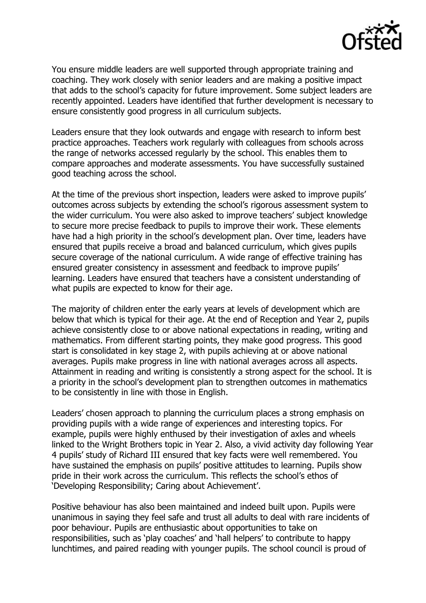

You ensure middle leaders are well supported through appropriate training and coaching. They work closely with senior leaders and are making a positive impact that adds to the school's capacity for future improvement. Some subject leaders are recently appointed. Leaders have identified that further development is necessary to ensure consistently good progress in all curriculum subjects.

Leaders ensure that they look outwards and engage with research to inform best practice approaches. Teachers work regularly with colleagues from schools across the range of networks accessed regularly by the school. This enables them to compare approaches and moderate assessments. You have successfully sustained good teaching across the school.

At the time of the previous short inspection, leaders were asked to improve pupils' outcomes across subjects by extending the school's rigorous assessment system to the wider curriculum. You were also asked to improve teachers' subject knowledge to secure more precise feedback to pupils to improve their work. These elements have had a high priority in the school's development plan. Over time, leaders have ensured that pupils receive a broad and balanced curriculum, which gives pupils secure coverage of the national curriculum. A wide range of effective training has ensured greater consistency in assessment and feedback to improve pupils' learning. Leaders have ensured that teachers have a consistent understanding of what pupils are expected to know for their age.

The majority of children enter the early years at levels of development which are below that which is typical for their age. At the end of Reception and Year 2, pupils achieve consistently close to or above national expectations in reading, writing and mathematics. From different starting points, they make good progress. This good start is consolidated in key stage 2, with pupils achieving at or above national averages. Pupils make progress in line with national averages across all aspects. Attainment in reading and writing is consistently a strong aspect for the school. It is a priority in the school's development plan to strengthen outcomes in mathematics to be consistently in line with those in English.

Leaders' chosen approach to planning the curriculum places a strong emphasis on providing pupils with a wide range of experiences and interesting topics. For example, pupils were highly enthused by their investigation of axles and wheels linked to the Wright Brothers topic in Year 2. Also, a vivid activity day following Year 4 pupils' study of Richard III ensured that key facts were well remembered. You have sustained the emphasis on pupils' positive attitudes to learning. Pupils show pride in their work across the curriculum. This reflects the school's ethos of 'Developing Responsibility; Caring about Achievement'.

Positive behaviour has also been maintained and indeed built upon. Pupils were unanimous in saying they feel safe and trust all adults to deal with rare incidents of poor behaviour. Pupils are enthusiastic about opportunities to take on responsibilities, such as 'play coaches' and 'hall helpers' to contribute to happy lunchtimes, and paired reading with younger pupils. The school council is proud of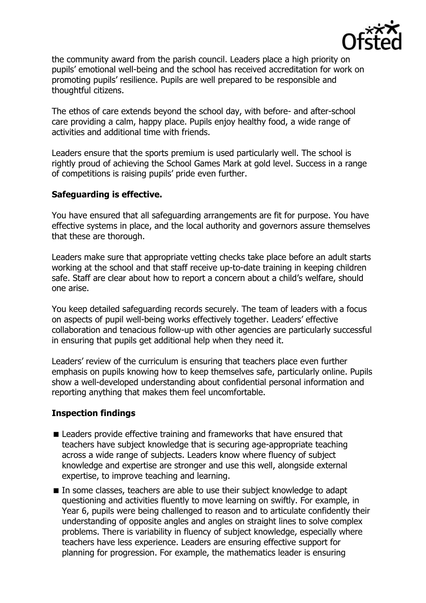

the community award from the parish council. Leaders place a high priority on pupils' emotional well-being and the school has received accreditation for work on promoting pupils' resilience. Pupils are well prepared to be responsible and thoughtful citizens.

The ethos of care extends beyond the school day, with before- and after-school care providing a calm, happy place. Pupils enjoy healthy food, a wide range of activities and additional time with friends.

Leaders ensure that the sports premium is used particularly well. The school is rightly proud of achieving the School Games Mark at gold level. Success in a range of competitions is raising pupils' pride even further.

## **Safeguarding is effective.**

You have ensured that all safeguarding arrangements are fit for purpose. You have effective systems in place, and the local authority and governors assure themselves that these are thorough.

Leaders make sure that appropriate vetting checks take place before an adult starts working at the school and that staff receive up-to-date training in keeping children safe. Staff are clear about how to report a concern about a child's welfare, should one arise.

You keep detailed safeguarding records securely. The team of leaders with a focus on aspects of pupil well-being works effectively together. Leaders' effective collaboration and tenacious follow-up with other agencies are particularly successful in ensuring that pupils get additional help when they need it.

Leaders' review of the curriculum is ensuring that teachers place even further emphasis on pupils knowing how to keep themselves safe, particularly online. Pupils show a well-developed understanding about confidential personal information and reporting anything that makes them feel uncomfortable.

# **Inspection findings**

- Leaders provide effective training and frameworks that have ensured that teachers have subject knowledge that is securing age-appropriate teaching across a wide range of subjects. Leaders know where fluency of subject knowledge and expertise are stronger and use this well, alongside external expertise, to improve teaching and learning.
- In some classes, teachers are able to use their subject knowledge to adapt questioning and activities fluently to move learning on swiftly. For example, in Year 6, pupils were being challenged to reason and to articulate confidently their understanding of opposite angles and angles on straight lines to solve complex problems. There is variability in fluency of subject knowledge, especially where teachers have less experience. Leaders are ensuring effective support for planning for progression. For example, the mathematics leader is ensuring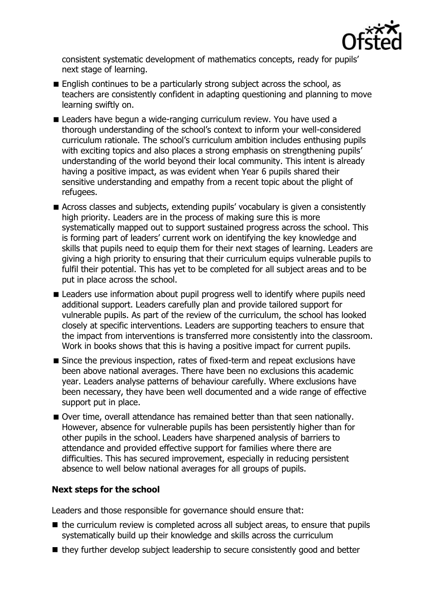

consistent systematic development of mathematics concepts, ready for pupils' next stage of learning.

- English continues to be a particularly strong subject across the school, as teachers are consistently confident in adapting questioning and planning to move learning swiftly on.
- Leaders have begun a wide-ranging curriculum review. You have used a thorough understanding of the school's context to inform your well-considered curriculum rationale. The school's curriculum ambition includes enthusing pupils with exciting topics and also places a strong emphasis on strengthening pupils' understanding of the world beyond their local community. This intent is already having a positive impact, as was evident when Year 6 pupils shared their sensitive understanding and empathy from a recent topic about the plight of refugees.
- Across classes and subjects, extending pupils' vocabulary is given a consistently high priority. Leaders are in the process of making sure this is more systematically mapped out to support sustained progress across the school. This is forming part of leaders' current work on identifying the key knowledge and skills that pupils need to equip them for their next stages of learning. Leaders are giving a high priority to ensuring that their curriculum equips vulnerable pupils to fulfil their potential. This has yet to be completed for all subject areas and to be put in place across the school.
- **E** Leaders use information about pupil progress well to identify where pupils need additional support. Leaders carefully plan and provide tailored support for vulnerable pupils. As part of the review of the curriculum, the school has looked closely at specific interventions. Leaders are supporting teachers to ensure that the impact from interventions is transferred more consistently into the classroom. Work in books shows that this is having a positive impact for current pupils.
- Since the previous inspection, rates of fixed-term and repeat exclusions have been above national averages. There have been no exclusions this academic year. Leaders analyse patterns of behaviour carefully. Where exclusions have been necessary, they have been well documented and a wide range of effective support put in place.
- Over time, overall attendance has remained better than that seen nationally. However, absence for vulnerable pupils has been persistently higher than for other pupils in the school. Leaders have sharpened analysis of barriers to attendance and provided effective support for families where there are difficulties. This has secured improvement, especially in reducing persistent absence to well below national averages for all groups of pupils.

# **Next steps for the school**

Leaders and those responsible for governance should ensure that:

- $\blacksquare$  the curriculum review is completed across all subject areas, to ensure that pupils systematically build up their knowledge and skills across the curriculum
- they further develop subject leadership to secure consistently good and better